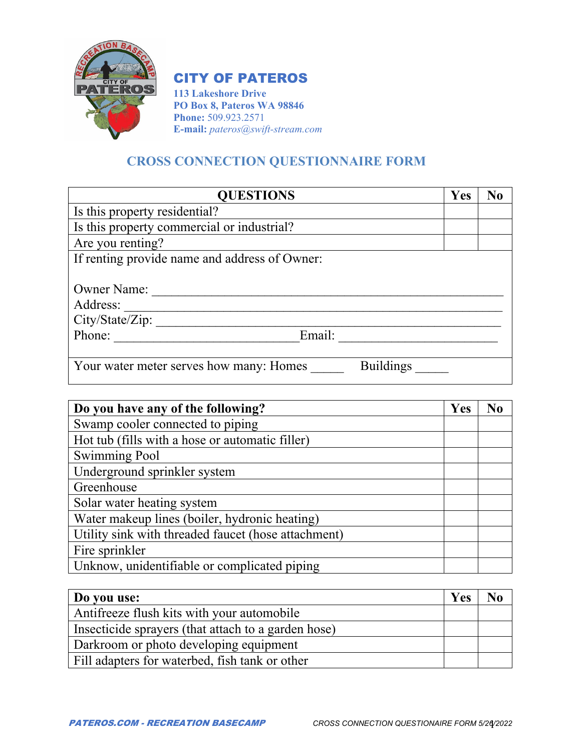

## CITY OF PATEROS

**113 Lakeshore Drive PO Box 8, Pateros WA 98846 Phone:** 509.923.2571 **E-mail:** *pateros@swift-stream.com*

## **CROSS CONNECTION QUESTIONNAIRE FORM**

| <b>QUESTIONS</b>                                            | Yes | No |
|-------------------------------------------------------------|-----|----|
| Is this property residential?                               |     |    |
| Is this property commercial or industrial?                  |     |    |
| Are you renting?                                            |     |    |
| If renting provide name and address of Owner:               |     |    |
|                                                             |     |    |
| <b>Owner Name:</b>                                          |     |    |
| Address:                                                    |     |    |
| City/State/Zip:                                             |     |    |
| Phone:<br>Email:                                            |     |    |
|                                                             |     |    |
| <b>Buildings</b><br>Your water meter serves how many: Homes |     |    |

| Do you have any of the following?                   | Yes |  |
|-----------------------------------------------------|-----|--|
| Swamp cooler connected to piping                    |     |  |
| Hot tub (fills with a hose or automatic filler)     |     |  |
| <b>Swimming Pool</b>                                |     |  |
| Underground sprinkler system                        |     |  |
| Greenhouse                                          |     |  |
| Solar water heating system                          |     |  |
| Water makeup lines (boiler, hydronic heating)       |     |  |
| Utility sink with threaded faucet (hose attachment) |     |  |
| Fire sprinkler                                      |     |  |
| Unknow, unidentifiable or complicated piping        |     |  |

| Do you use:                                         | <b>Yes</b> |  |
|-----------------------------------------------------|------------|--|
| Antifreeze flush kits with your automobile          |            |  |
| Insecticide sprayers (that attach to a garden hose) |            |  |
| Darkroom or photo developing equipment              |            |  |
| Fill adapters for waterbed, fish tank or other      |            |  |